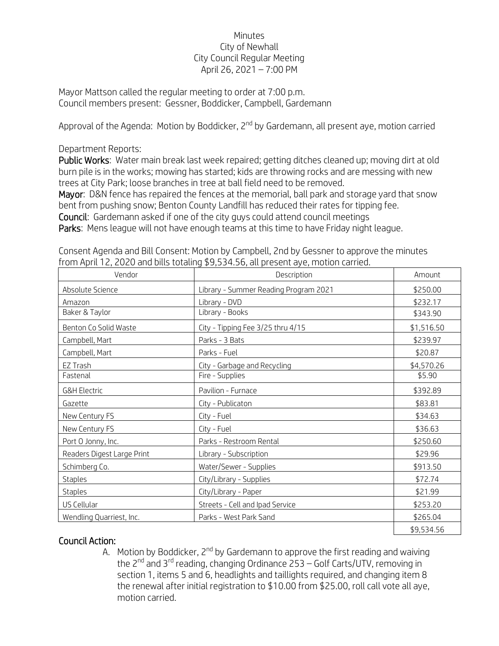## Minutes City of Newhall City Council Regular Meeting April 26, 2021 – 7:00 PM

Mayor Mattson called the regular meeting to order at 7:00 p.m. Council members present: Gessner, Boddicker, Campbell, Gardemann

Approval of the Agenda: Motion by Boddicker, 2<sup>nd</sup> by Gardemann, all present aye, motion carried

Department Reports:

Public Works: Water main break last week repaired; getting ditches cleaned up; moving dirt at old burn pile is in the works; mowing has started; kids are throwing rocks and are messing with new trees at City Park; loose branches in tree at ball field need to be removed.

Mayor: D&N fence has repaired the fences at the memorial, ball park and storage yard that snow bent from pushing snow; Benton County Landfill has reduced their rates for tipping fee.

Council: Gardemann asked if one of the city guys could attend council meetings

Parks: Mens league will not have enough teams at this time to have Friday night league.

| Vendor                     | Description                           | Amount     |
|----------------------------|---------------------------------------|------------|
| Absolute Science           | Library - Summer Reading Program 2021 | \$250.00   |
| Amazon                     | Library - DVD                         | \$232.17   |
| Baker & Taylor             | Library - Books                       | \$343.90   |
| Benton Co Solid Waste      | City - Tipping Fee 3/25 thru 4/15     | \$1,516.50 |
| Campbell, Mart             | Parks - 3 Bats                        | \$239.97   |
| Campbell, Mart             | Parks - Fuel                          | \$20.87    |
| EZ Trash                   | City - Garbage and Recycling          | \$4,570.26 |
| Fastenal                   | Fire - Supplies                       | \$5.90     |
| <b>G&amp;H Electric</b>    | Pavilion - Furnace                    | \$392.89   |
| Gazette                    | City - Publicaton                     | \$83.81    |
| New Century FS             | City - Fuel                           | \$34.63    |
| New Century FS             | City - Fuel                           | \$36.63    |
| Port O Jonny, Inc.         | Parks - Restroom Rental               | \$250.60   |
| Readers Digest Large Print | Library - Subscription                | \$29.96    |
| Schimberg Co.              | Water/Sewer - Supplies                | \$913.50   |
| <b>Staples</b>             | City/Library - Supplies               | \$72.74    |
| <b>Staples</b>             | City/Library - Paper                  | \$21.99    |
| US Cellular                | Streets - Cell and Ipad Service       | \$253.20   |
| Wendling Quarriest, Inc.   | Parks - West Park Sand                | \$265.04   |
|                            |                                       | \$9,534.56 |

Consent Agenda and Bill Consent: Motion by Campbell, 2nd by Gessner to approve the minutes from April 12, 2020 and bills totaling \$9,534.56, all present aye, motion carried.

## Council Action:

A. Motion by Boddicker,  $2^{nd}$  by Gardemann to approve the first reading and waiving the  $2^{nd}$  and  $3^{rd}$  reading, changing Ordinance 253 – Golf Carts/UTV, removing in section 1, items 5 and 6, headlights and taillights required, and changing item 8 the renewal after initial registration to \$10.00 from \$25.00, roll call vote all aye, motion carried.